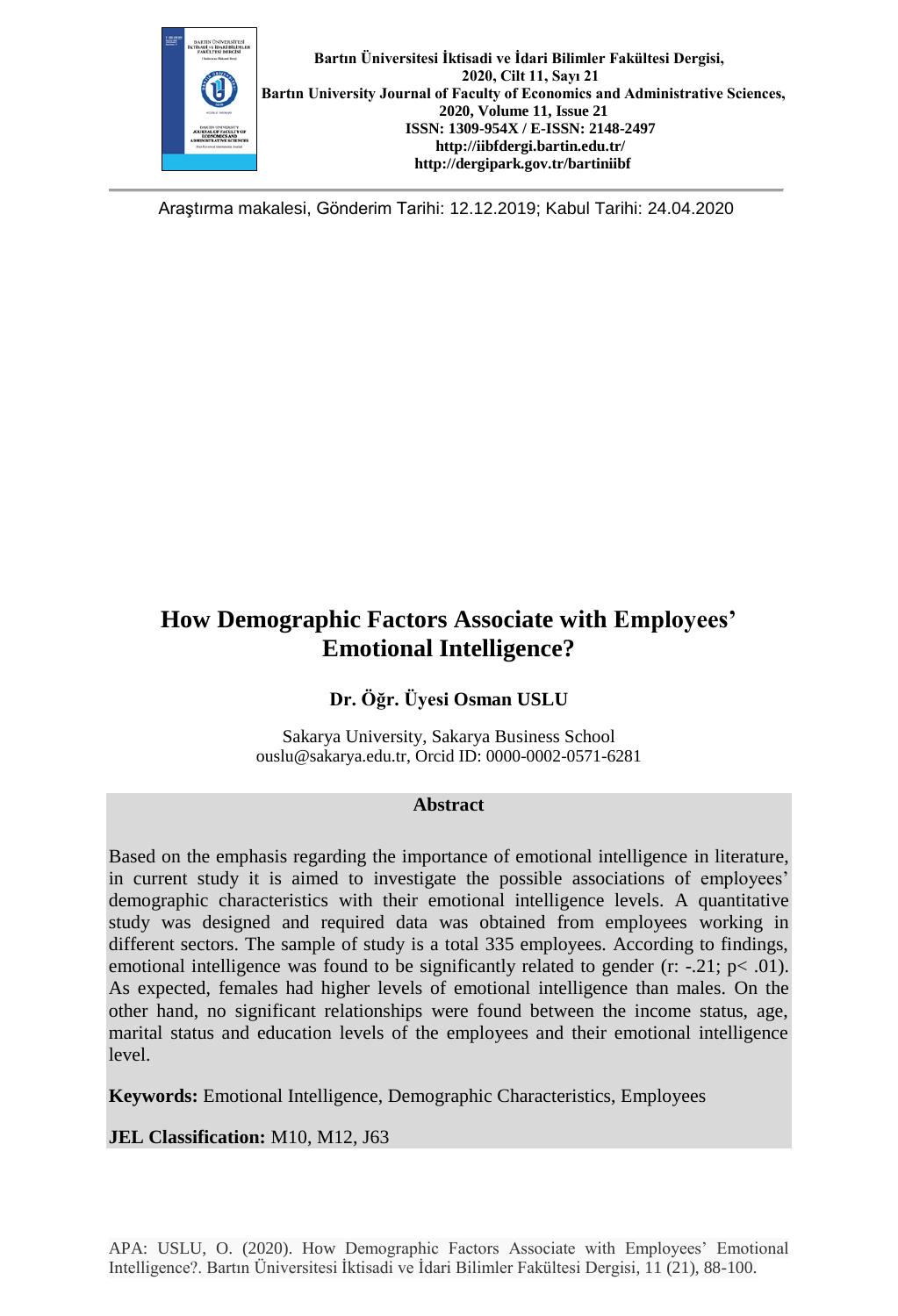

Araştırma makalesi, Gönderim Tarihi: 12.12.2019; Kabul Tarihi: 24.04.2020

# **How Demographic Factors Associate with Employees' Emotional Intelligence?**

## **Dr. Öğr. Üyesi Osman USLU**

Sakarya University, Sakarya Business School [ouslu@sakarya.edu.tr,](mailto:ouslu@sakarya.edu.tr) Orcid ID: 0000-0002-0571-6281

#### **Abstract**

Based on the emphasis regarding the importance of emotional intelligence in literature, in current study it is aimed to investigate the possible associations of employees' demographic characteristics with their emotional intelligence levels. A quantitative study was designed and required data was obtained from employees working in different sectors. The sample of study is a total 335 employees. According to findings, emotional intelligence was found to be significantly related to gender  $(r: -21; p< .01)$ . As expected, females had higher levels of emotional intelligence than males. On the other hand, no significant relationships were found between the income status, age, marital status and education levels of the employees and their emotional intelligence level.

**Keywords:** Emotional Intelligence, Demographic Characteristics, Employees

**JEL Classification:** M10, M12, J63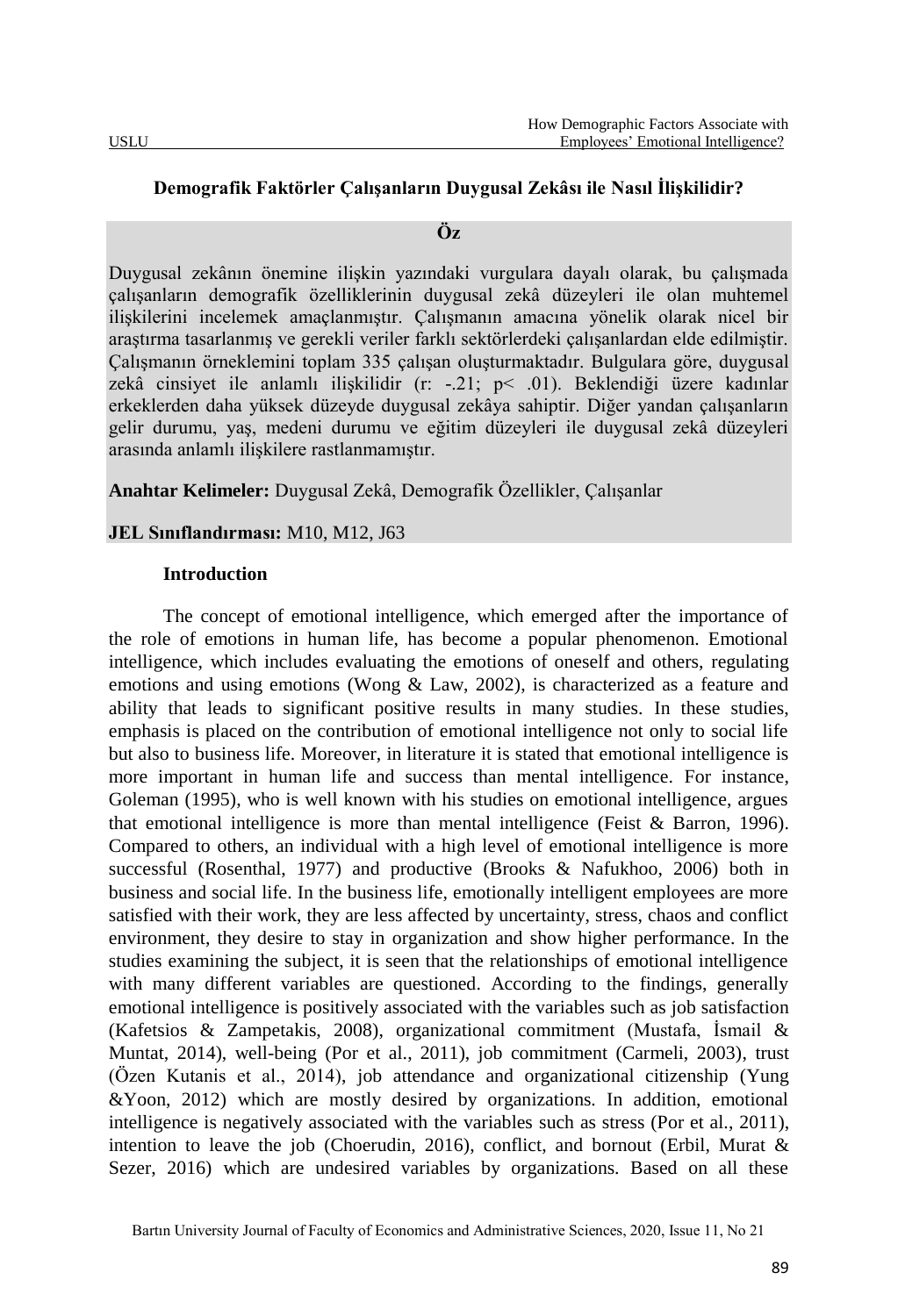#### **Demografik Faktörler Çalışanların Duygusal Zekâsı ile Nasıl İlişkilidir?**

#### **Öz**

Duygusal zekânın önemine ilişkin yazındaki vurgulara dayalı olarak, bu çalışmada çalışanların demografik özelliklerinin duygusal zekâ düzeyleri ile olan muhtemel ilişkilerini incelemek amaçlanmıştır. Çalışmanın amacına yönelik olarak nicel bir araştırma tasarlanmış ve gerekli veriler farklı sektörlerdeki çalışanlardan elde edilmiştir. Çalışmanın örneklemini toplam 335 çalışan oluşturmaktadır. Bulgulara göre, duygusal zekâ cinsiyet ile anlamlı ilişkilidir (r: -.21; p< .01). Beklendiği üzere kadınlar erkeklerden daha yüksek düzeyde duygusal zekâya sahiptir. Diğer yandan çalışanların gelir durumu, yaş, medeni durumu ve eğitim düzeyleri ile duygusal zekâ düzeyleri arasında anlamlı ilişkilere rastlanmamıştır.

**Anahtar Kelimeler:** Duygusal Zekâ, Demografik Özellikler, Çalışanlar

## **JEL Sınıflandırması:** M10, M12, J63

#### **Introduction**

The concept of emotional intelligence, which emerged after the importance of the role of emotions in human life, has become a popular phenomenon. Emotional intelligence, which includes evaluating the emotions of oneself and others, regulating emotions and using emotions (Wong & Law, 2002), is characterized as a feature and ability that leads to significant positive results in many studies. In these studies, emphasis is placed on the contribution of emotional intelligence not only to social life but also to business life. Moreover, in literature it is stated that emotional intelligence is more important in human life and success than mental intelligence. For instance, Goleman (1995), who is well known with his studies on emotional intelligence, argues that emotional intelligence is more than mental intelligence (Feist & Barron, 1996). Compared to others, an individual with a high level of emotional intelligence is more successful (Rosenthal, 1977) and productive (Brooks & Nafukhoo, 2006) both in business and social life. In the business life, emotionally intelligent employees are more satisfied with their work, they are less affected by uncertainty, stress, chaos and conflict environment, they desire to stay in organization and show higher performance. In the studies examining the subject, it is seen that the relationships of emotional intelligence with many different variables are questioned. According to the findings, generally emotional intelligence is positively associated with the variables such as job satisfaction (Kafetsios & Zampetakis, 2008), organizational commitment (Mustafa, İsmail & Muntat, 2014), well-being (Por et al., 2011), job commitment (Carmeli, 2003), trust (Özen Kutanis et al., 2014), job attendance and organizational citizenship (Yung &Yoon, 2012) which are mostly desired by organizations. In addition, emotional intelligence is negatively associated with the variables such as stress (Por et al., 2011), intention to leave the job (Choerudin, 2016), conflict, and bornout (Erbil, Murat  $\&$ Sezer, 2016) which are undesired variables by organizations. Based on all these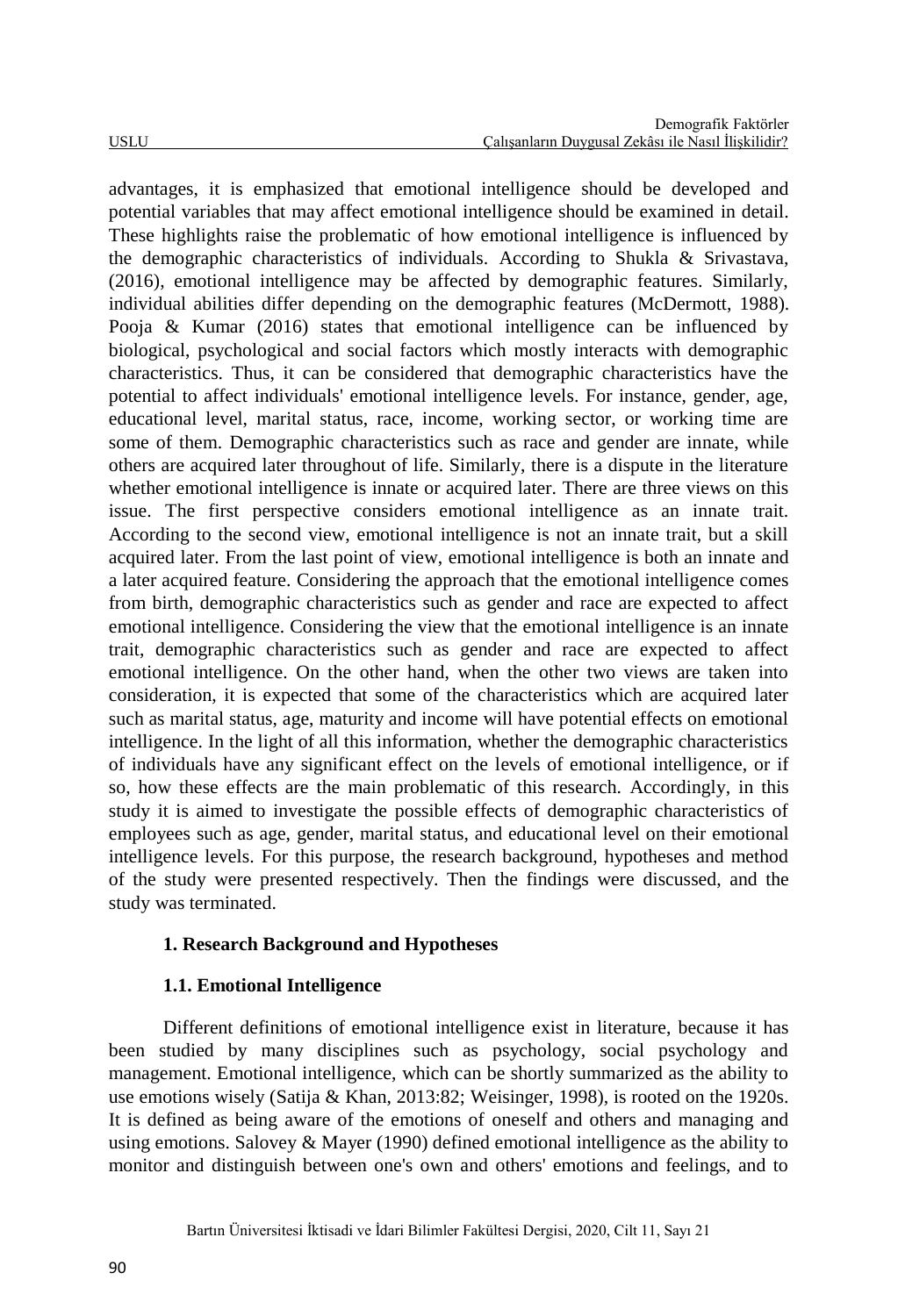advantages, it is emphasized that emotional intelligence should be developed and potential variables that may affect emotional intelligence should be examined in detail. These highlights raise the problematic of how emotional intelligence is influenced by the demographic characteristics of individuals. According to Shukla & Srivastava, (2016), emotional intelligence may be affected by demographic features. Similarly, individual abilities differ depending on the demographic features (McDermott, 1988). Pooja & Kumar (2016) states that emotional intelligence can be influenced by biological, psychological and social factors which mostly interacts with demographic characteristics. Thus, it can be considered that demographic characteristics have the potential to affect individuals' emotional intelligence levels. For instance, gender, age, educational level, marital status, race, income, working sector, or working time are some of them. Demographic characteristics such as race and gender are innate, while others are acquired later throughout of life. Similarly, there is a dispute in the literature whether emotional intelligence is innate or acquired later. There are three views on this issue. The first perspective considers emotional intelligence as an innate trait. According to the second view, emotional intelligence is not an innate trait, but a skill acquired later. From the last point of view, emotional intelligence is both an innate and a later acquired feature. Considering the approach that the emotional intelligence comes from birth, demographic characteristics such as gender and race are expected to affect emotional intelligence. Considering the view that the emotional intelligence is an innate trait, demographic characteristics such as gender and race are expected to affect emotional intelligence. On the other hand, when the other two views are taken into consideration, it is expected that some of the characteristics which are acquired later such as marital status, age, maturity and income will have potential effects on emotional intelligence. In the light of all this information, whether the demographic characteristics of individuals have any significant effect on the levels of emotional intelligence, or if so, how these effects are the main problematic of this research. Accordingly, in this study it is aimed to investigate the possible effects of demographic characteristics of employees such as age, gender, marital status, and educational level on their emotional intelligence levels. For this purpose, the research background, hypotheses and method of the study were presented respectively. Then the findings were discussed, and the study was terminated.

## **1. Research Background and Hypotheses**

## **1.1. Emotional Intelligence**

Different definitions of emotional intelligence exist in literature, because it has been studied by many disciplines such as psychology, social psychology and management. Emotional intelligence, which can be shortly summarized as the ability to use emotions wisely (Satija & Khan, 2013:82; Weisinger, 1998), is rooted on the 1920s. It is defined as being aware of the emotions of oneself and others and managing and using emotions. Salovey & Mayer (1990) defined emotional intelligence as the ability to monitor and distinguish between one's own and others' emotions and feelings, and to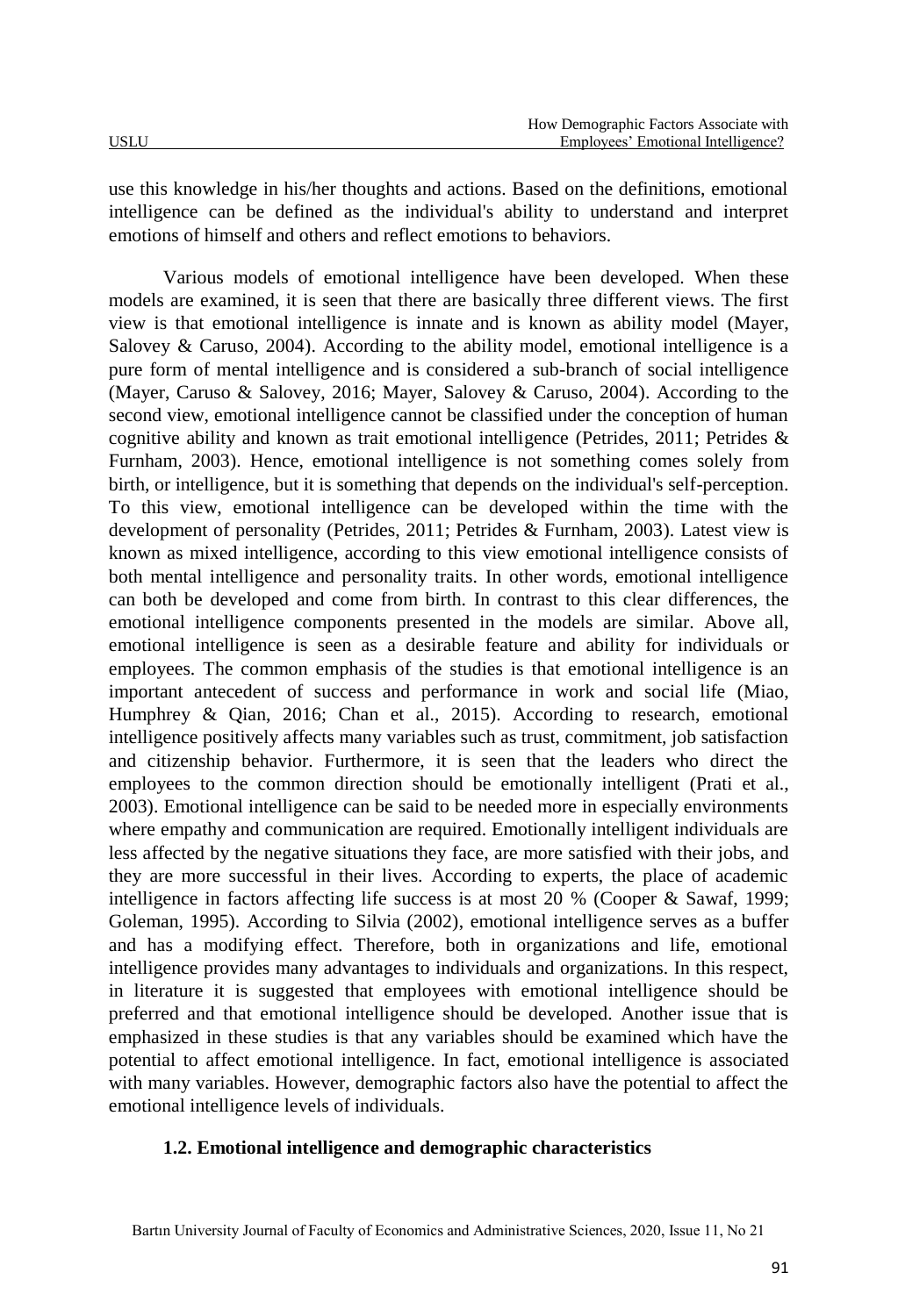use this knowledge in his/her thoughts and actions. Based on the definitions, emotional intelligence can be defined as the individual's ability to understand and interpret emotions of himself and others and reflect emotions to behaviors.

Various models of emotional intelligence have been developed. When these models are examined, it is seen that there are basically three different views. The first view is that emotional intelligence is innate and is known as ability model (Mayer, Salovey & Caruso, 2004). According to the ability model, emotional intelligence is a pure form of mental intelligence and is considered a sub-branch of social intelligence (Mayer, Caruso & Salovey, 2016; Mayer, Salovey & Caruso, 2004). According to the second view, emotional intelligence cannot be classified under the conception of human cognitive ability and known as trait emotional intelligence (Petrides, 2011; Petrides & Furnham, 2003). Hence, emotional intelligence is not something comes solely from birth, or intelligence, but it is something that depends on the individual's self-perception. To this view, emotional intelligence can be developed within the time with the development of personality (Petrides, 2011; Petrides & Furnham, 2003). Latest view is known as mixed intelligence, according to this view emotional intelligence consists of both mental intelligence and personality traits. In other words, emotional intelligence can both be developed and come from birth. In contrast to this clear differences, the emotional intelligence components presented in the models are similar. Above all, emotional intelligence is seen as a desirable feature and ability for individuals or employees. The common emphasis of the studies is that emotional intelligence is an important antecedent of success and performance in work and social life (Miao, Humphrey & Qian, 2016; Chan et al., 2015). According to research, emotional intelligence positively affects many variables such as trust, commitment, job satisfaction and citizenship behavior. Furthermore, it is seen that the leaders who direct the employees to the common direction should be emotionally intelligent (Prati et al., 2003). Emotional intelligence can be said to be needed more in especially environments where empathy and communication are required. Emotionally intelligent individuals are less affected by the negative situations they face, are more satisfied with their jobs, and they are more successful in their lives. According to experts, the place of academic intelligence in factors affecting life success is at most 20 % (Cooper & Sawaf, 1999; Goleman, 1995). According to Silvia (2002), emotional intelligence serves as a buffer and has a modifying effect. Therefore, both in organizations and life, emotional intelligence provides many advantages to individuals and organizations. In this respect, in literature it is suggested that employees with emotional intelligence should be preferred and that emotional intelligence should be developed. Another issue that is emphasized in these studies is that any variables should be examined which have the potential to affect emotional intelligence. In fact, emotional intelligence is associated with many variables. However, demographic factors also have the potential to affect the emotional intelligence levels of individuals.

#### **1.2. Emotional intelligence and demographic characteristics**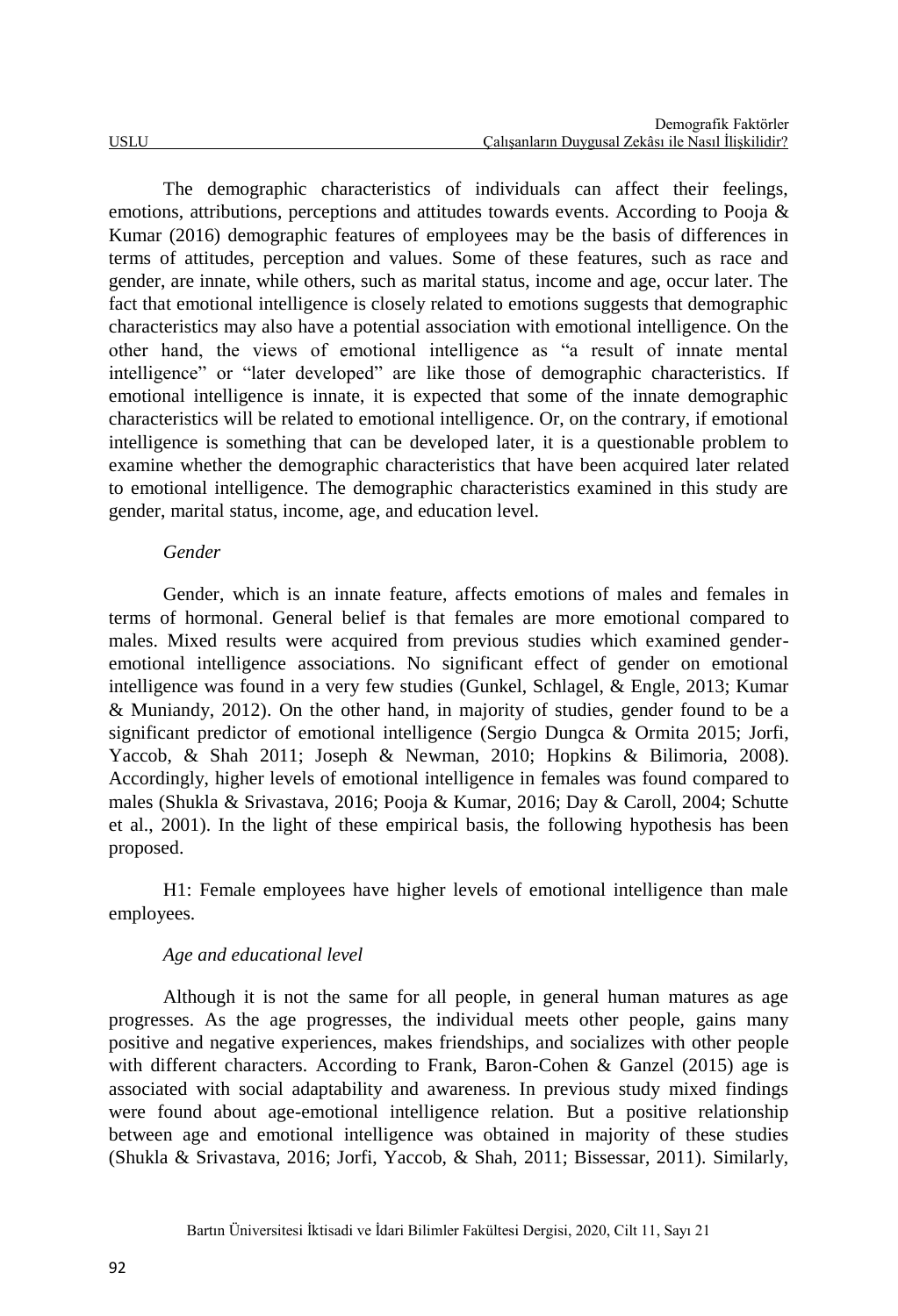The demographic characteristics of individuals can affect their feelings, emotions, attributions, perceptions and attitudes towards events. According to Pooja & Kumar (2016) demographic features of employees may be the basis of differences in terms of attitudes, perception and values. Some of these features, such as race and gender, are innate, while others, such as marital status, income and age, occur later. The fact that emotional intelligence is closely related to emotions suggests that demographic characteristics may also have a potential association with emotional intelligence. On the other hand, the views of emotional intelligence as "a result of innate mental intelligence" or "later developed" are like those of demographic characteristics. If emotional intelligence is innate, it is expected that some of the innate demographic characteristics will be related to emotional intelligence. Or, on the contrary, if emotional intelligence is something that can be developed later, it is a questionable problem to examine whether the demographic characteristics that have been acquired later related to emotional intelligence. The demographic characteristics examined in this study are gender, marital status, income, age, and education level.

#### *Gender*

Gender, which is an innate feature, affects emotions of males and females in terms of hormonal. General belief is that females are more emotional compared to males. Mixed results were acquired from previous studies which examined genderemotional intelligence associations. No significant effect of gender on emotional intelligence was found in a very few studies (Gunkel, Schlagel, & Engle, 2013; Kumar & Muniandy, 2012). On the other hand, in majority of studies, gender found to be a significant predictor of emotional intelligence (Sergio Dungca & Ormita 2015; Jorfi, Yaccob, & Shah 2011; Joseph & Newman, 2010; Hopkins & Bilimoria, 2008). Accordingly, higher levels of emotional intelligence in females was found compared to males (Shukla & Srivastava, 2016; Pooja & Kumar, 2016; Day & Caroll, 2004; Schutte et al., 2001). In the light of these empirical basis, the following hypothesis has been proposed.

H1: Female employees have higher levels of emotional intelligence than male employees.

## *Age and educational level*

Although it is not the same for all people, in general human matures as age progresses. As the age progresses, the individual meets other people, gains many positive and negative experiences, makes friendships, and socializes with other people with different characters. According to Frank, Baron-Cohen & Ganzel (2015) age is associated with social adaptability and awareness. In previous study mixed findings were found about age-emotional intelligence relation. But a positive relationship between age and emotional intelligence was obtained in majority of these studies (Shukla & Srivastava, 2016; Jorfi, Yaccob, & Shah, 2011; Bissessar, 2011). Similarly,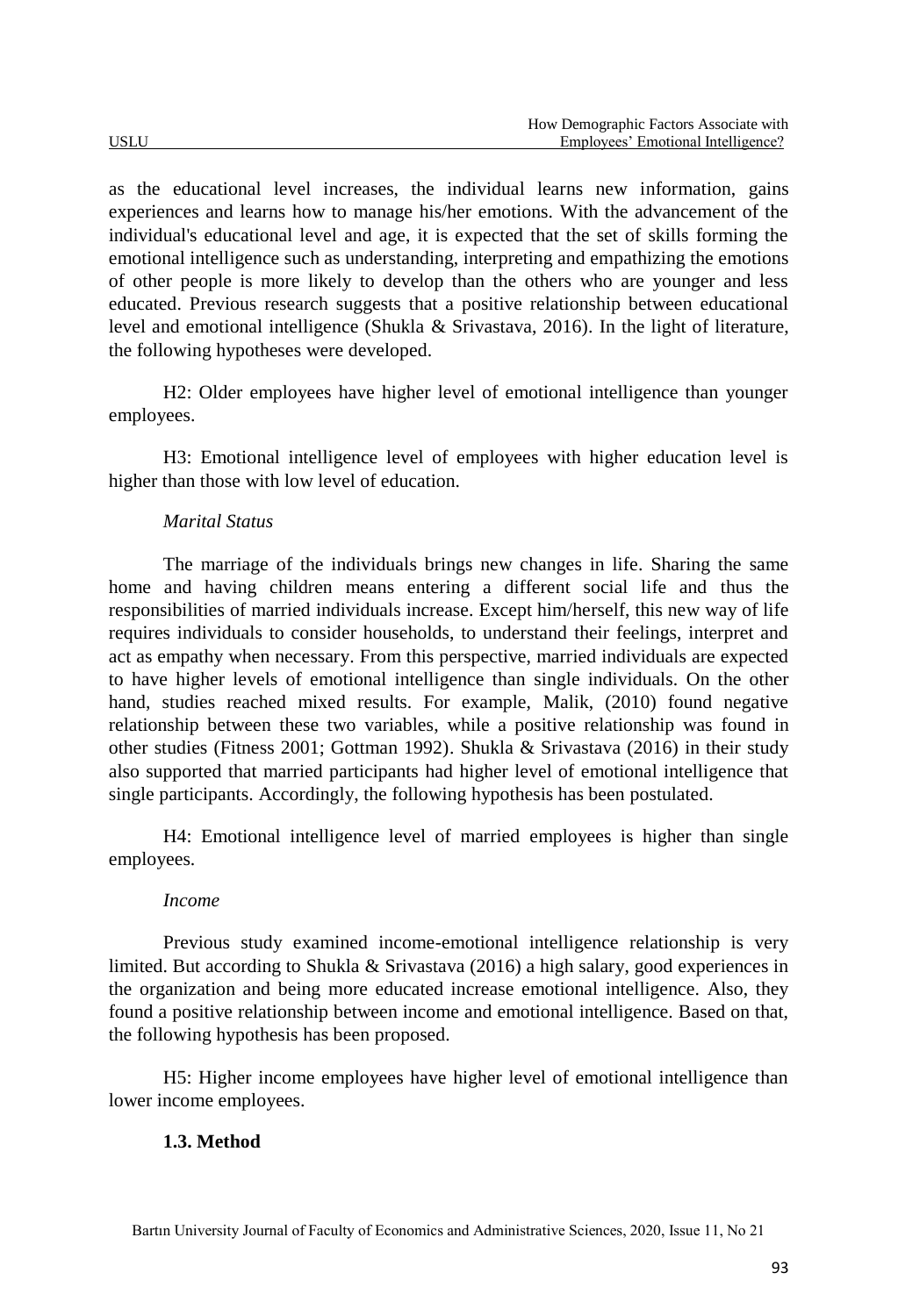as the educational level increases, the individual learns new information, gains experiences and learns how to manage his/her emotions. With the advancement of the individual's educational level and age, it is expected that the set of skills forming the emotional intelligence such as understanding, interpreting and empathizing the emotions of other people is more likely to develop than the others who are younger and less educated. Previous research suggests that a positive relationship between educational level and emotional intelligence (Shukla & Srivastava, 2016). In the light of literature, the following hypotheses were developed.

H2: Older employees have higher level of emotional intelligence than younger employees.

H3: Emotional intelligence level of employees with higher education level is higher than those with low level of education.

## *Marital Status*

The marriage of the individuals brings new changes in life. Sharing the same home and having children means entering a different social life and thus the responsibilities of married individuals increase. Except him/herself, this new way of life requires individuals to consider households, to understand their feelings, interpret and act as empathy when necessary. From this perspective, married individuals are expected to have higher levels of emotional intelligence than single individuals. On the other hand, studies reached mixed results. For example, Malik, (2010) found negative relationship between these two variables, while a positive relationship was found in other studies (Fitness 2001; Gottman 1992). Shukla & Srivastava (2016) in their study also supported that married participants had higher level of emotional intelligence that single participants. Accordingly, the following hypothesis has been postulated.

H4: Emotional intelligence level of married employees is higher than single employees.

#### *Income*

Previous study examined income-emotional intelligence relationship is very limited. But according to Shukla & Srivastava (2016) a high salary, good experiences in the organization and being more educated increase emotional intelligence. Also, they found a positive relationship between income and emotional intelligence. Based on that, the following hypothesis has been proposed.

H5: Higher income employees have higher level of emotional intelligence than lower income employees.

#### **1.3. Method**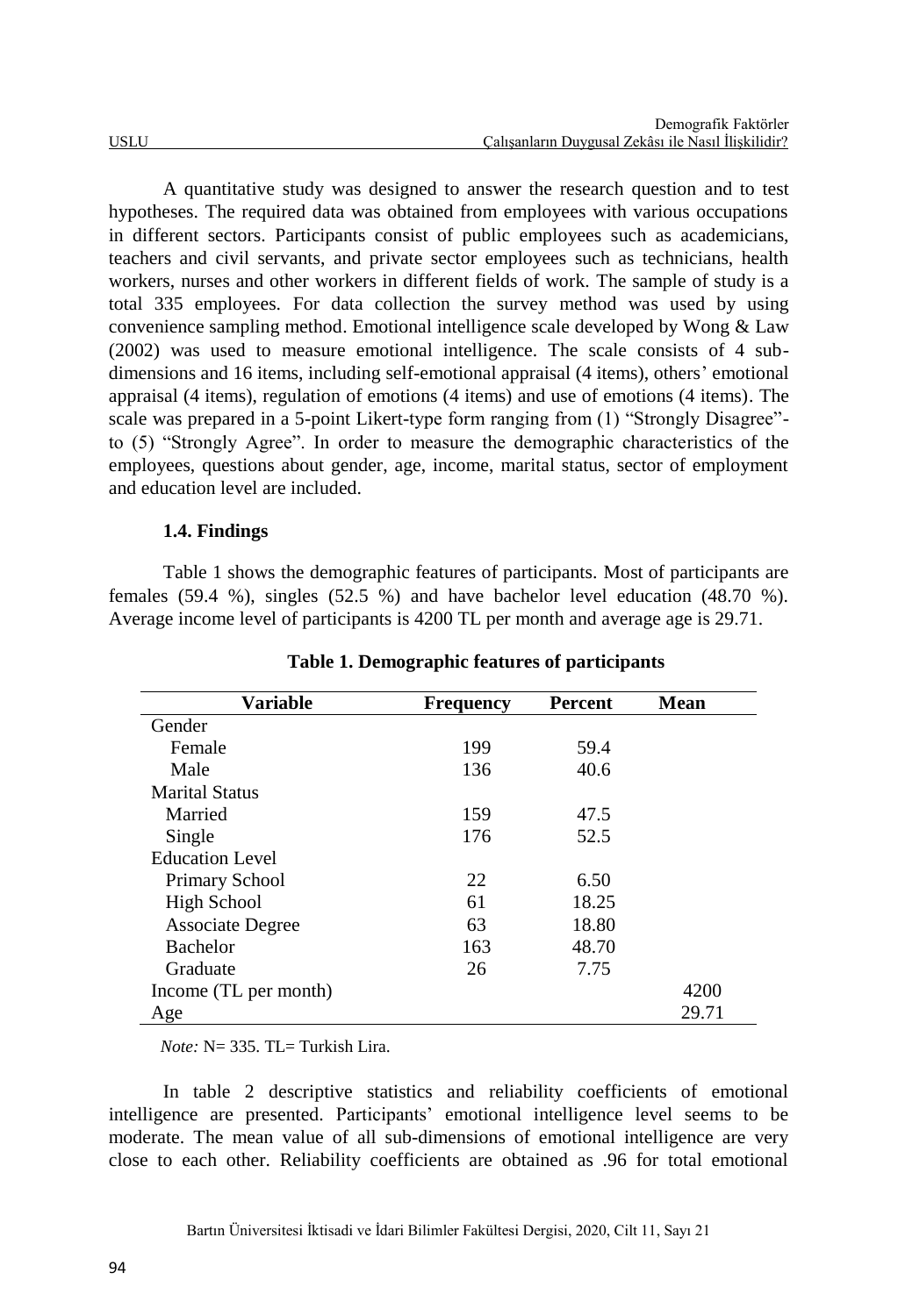A quantitative study was designed to answer the research question and to test hypotheses. The required data was obtained from employees with various occupations in different sectors. Participants consist of public employees such as academicians, teachers and civil servants, and private sector employees such as technicians, health workers, nurses and other workers in different fields of work. The sample of study is a total 335 employees. For data collection the survey method was used by using convenience sampling method. Emotional intelligence scale developed by Wong & Law (2002) was used to measure emotional intelligence. The scale consists of 4 subdimensions and 16 items, including self-emotional appraisal (4 items), others' emotional appraisal (4 items), regulation of emotions (4 items) and use of emotions (4 items). The scale was prepared in a 5-point Likert-type form ranging from (1) "Strongly Disagree" to (5) "Strongly Agree". In order to measure the demographic characteristics of the employees, questions about gender, age, income, marital status, sector of employment and education level are included.

## **1.4. Findings**

Table 1 shows the demographic features of participants. Most of participants are females (59.4 %), singles (52.5 %) and have bachelor level education (48.70 %). Average income level of participants is 4200 TL per month and average age is 29.71.

| <b>Variable</b>         | <b>Frequency</b> | <b>Percent</b> | Mean  |
|-------------------------|------------------|----------------|-------|
| Gender                  |                  |                |       |
| Female                  | 199              | 59.4           |       |
| Male                    | 136              | 40.6           |       |
| <b>Marital Status</b>   |                  |                |       |
| Married                 | 159              | 47.5           |       |
| Single                  | 176              | 52.5           |       |
| <b>Education Level</b>  |                  |                |       |
| <b>Primary School</b>   | 22               | 6.50           |       |
| High School             | 61               | 18.25          |       |
| <b>Associate Degree</b> | 63               | 18.80          |       |
| <b>Bachelor</b>         | 163              | 48.70          |       |
| Graduate                | 26               | 7.75           |       |
| Income (TL per month)   |                  |                | 4200  |
| Age                     |                  |                | 29.71 |

**Table 1. Demographic features of participants**

*Note:*  $N = 335$ . TL $=$  Turkish Lira.

In table 2 descriptive statistics and reliability coefficients of emotional intelligence are presented. Participants' emotional intelligence level seems to be moderate. The mean value of all sub-dimensions of emotional intelligence are very close to each other. Reliability coefficients are obtained as .96 for total emotional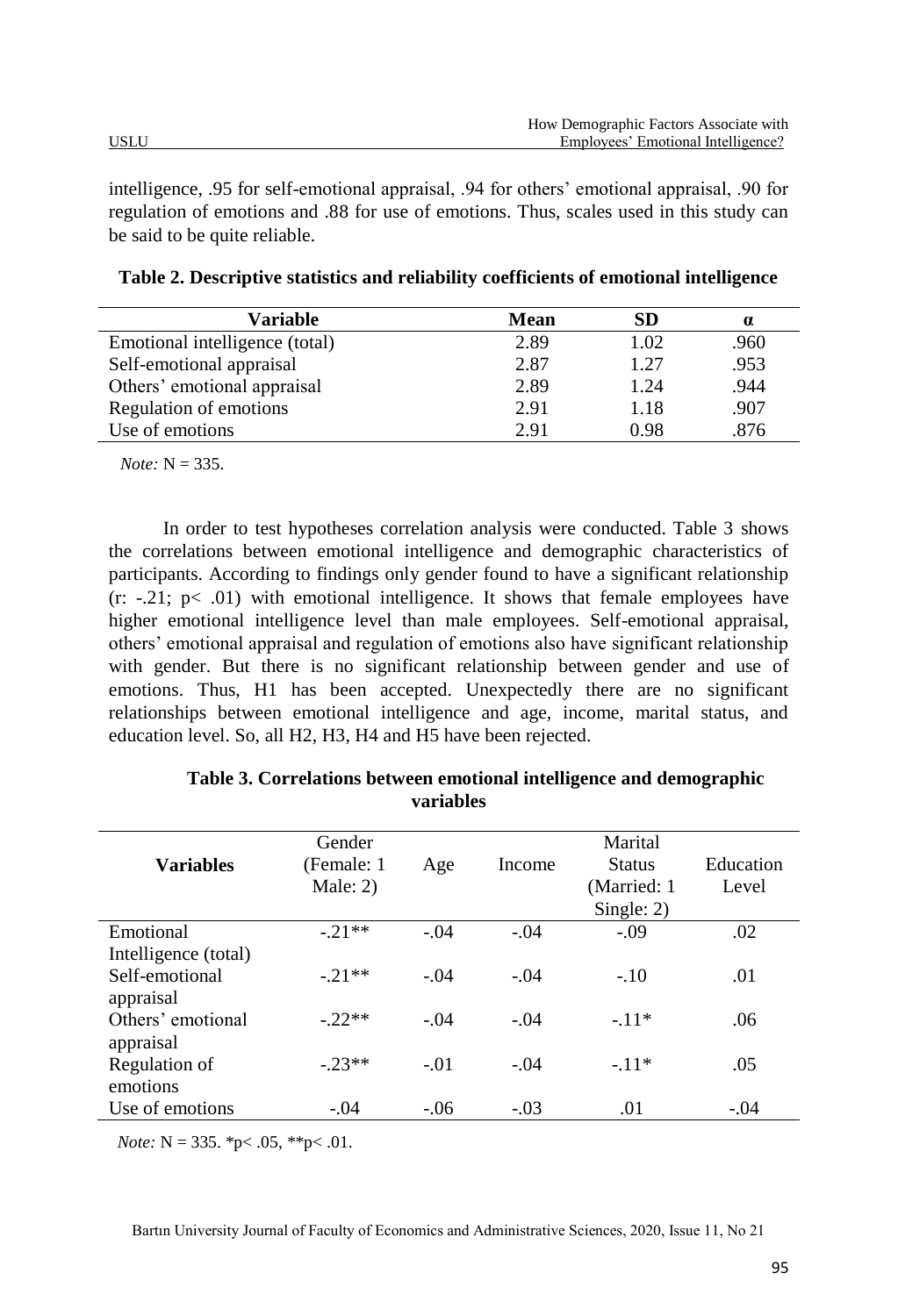intelligence, .95 for self-emotional appraisal, .94 for others' emotional appraisal, .90 for regulation of emotions and .88 for use of emotions. Thus, scales used in this study can be said to be quite reliable.

| Variable                       | Mean | SD   | $\alpha$ |
|--------------------------------|------|------|----------|
| Emotional intelligence (total) | 2.89 | 1.02 | .960     |
| Self-emotional appraisal       | 2.87 | 1.27 | .953     |
| Others' emotional appraisal    | 2.89 | 1.24 | .944     |
| Regulation of emotions         | 2.91 | 1.18 | .907     |
| Use of emotions                | 2.91 | 0.98 | .876     |

**Table 2. Descriptive statistics and reliability coefficients of emotional intelligence**

 $$ 

In order to test hypotheses correlation analysis were conducted. Table 3 shows the correlations between emotional intelligence and demographic characteristics of participants. According to findings only gender found to have a significant relationship  $(r: -21; p< .01)$  with emotional intelligence. It shows that female employees have higher emotional intelligence level than male employees. Self-emotional appraisal, others' emotional appraisal and regulation of emotions also have significant relationship with gender. But there is no significant relationship between gender and use of emotions. Thus, H1 has been accepted. Unexpectedly there are no significant relationships between emotional intelligence and age, income, marital status, and education level. So, all H2, H3, H4 and H5 have been rejected.

|                      | Gender      |        |        | Marital       |           |
|----------------------|-------------|--------|--------|---------------|-----------|
| <b>Variables</b>     | (Female: 1) | Age    | Income | <b>Status</b> | Education |
|                      | Male: $2)$  |        |        | (Married: 1)  | Level     |
|                      |             |        |        | Single: 2)    |           |
| Emotional            | $-.21**$    | $-.04$ | $-.04$ | $-.09$        | .02       |
| Intelligence (total) |             |        |        |               |           |
| Self-emotional       | $-.21**$    | $-.04$ | $-.04$ | $-.10$        | .01       |
| appraisal            |             |        |        |               |           |
| Others' emotional    | $-22**$     | $-.04$ | $-.04$ | $-.11*$       | .06       |
| appraisal            |             |        |        |               |           |
| Regulation of        | $-23**$     | $-.01$ | $-.04$ | $-.11*$       | .05       |
| emotions             |             |        |        |               |           |
| Use of emotions      | $-.04$      | $-.06$ | $-.03$ | .01           | $-.04$    |

**Table 3. Correlations between emotional intelligence and demographic variables**

 *Note:* N = 335. \*p< .05, \*\*p< .01.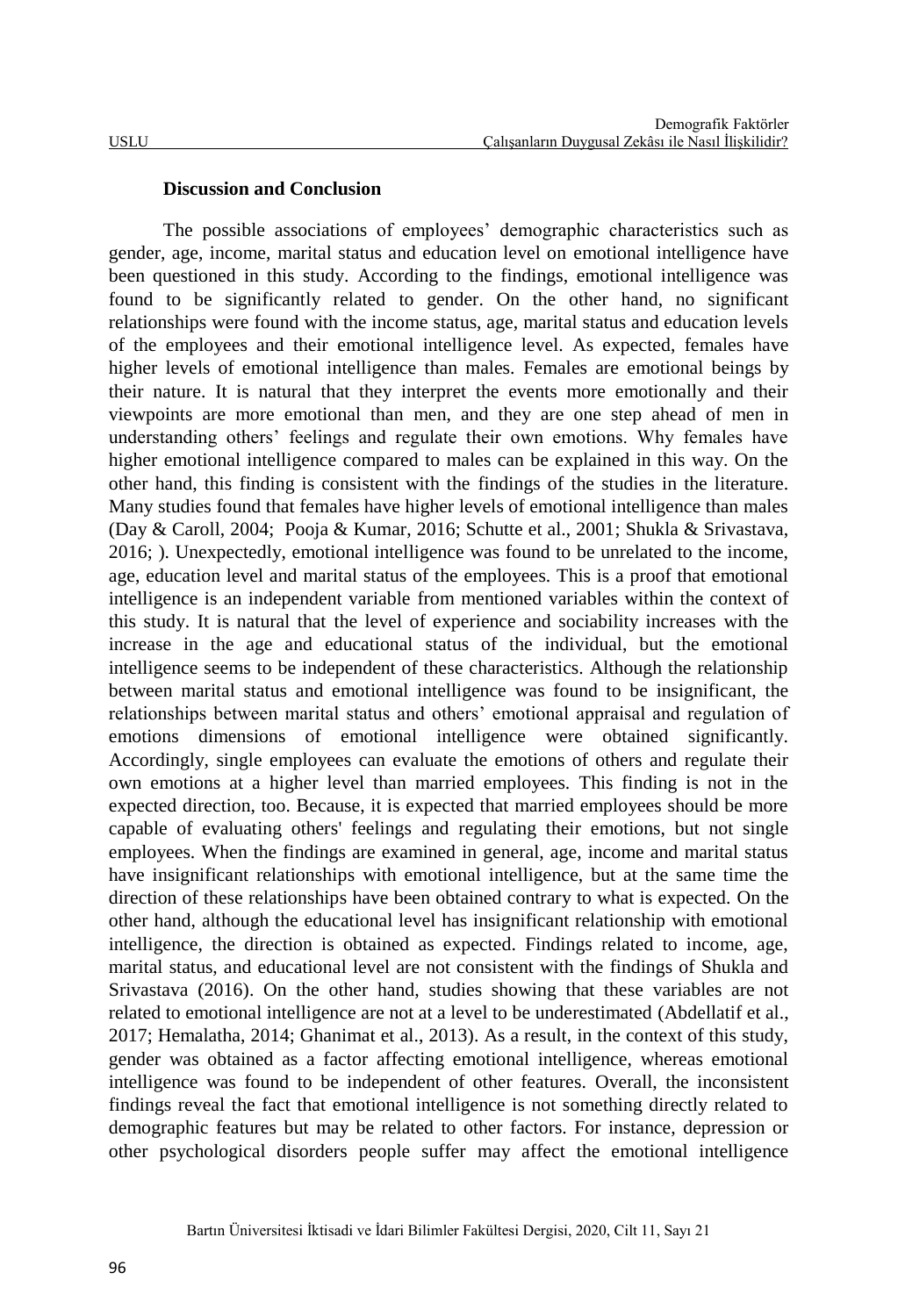#### **Discussion and Conclusion**

The possible associations of employees' demographic characteristics such as gender, age, income, marital status and education level on emotional intelligence have been questioned in this study. According to the findings, emotional intelligence was found to be significantly related to gender. On the other hand, no significant relationships were found with the income status, age, marital status and education levels of the employees and their emotional intelligence level. As expected, females have higher levels of emotional intelligence than males. Females are emotional beings by their nature. It is natural that they interpret the events more emotionally and their viewpoints are more emotional than men, and they are one step ahead of men in understanding others' feelings and regulate their own emotions. Why females have higher emotional intelligence compared to males can be explained in this way. On the other hand, this finding is consistent with the findings of the studies in the literature. Many studies found that females have higher levels of emotional intelligence than males (Day & Caroll, 2004; Pooja & Kumar, 2016; Schutte et al., 2001; Shukla & Srivastava, 2016; ). Unexpectedly, emotional intelligence was found to be unrelated to the income, age, education level and marital status of the employees. This is a proof that emotional intelligence is an independent variable from mentioned variables within the context of this study. It is natural that the level of experience and sociability increases with the increase in the age and educational status of the individual, but the emotional intelligence seems to be independent of these characteristics. Although the relationship between marital status and emotional intelligence was found to be insignificant, the relationships between marital status and others' emotional appraisal and regulation of emotions dimensions of emotional intelligence were obtained significantly. Accordingly, single employees can evaluate the emotions of others and regulate their own emotions at a higher level than married employees. This finding is not in the expected direction, too. Because, it is expected that married employees should be more capable of evaluating others' feelings and regulating their emotions, but not single employees. When the findings are examined in general, age, income and marital status have insignificant relationships with emotional intelligence, but at the same time the direction of these relationships have been obtained contrary to what is expected. On the other hand, although the educational level has insignificant relationship with emotional intelligence, the direction is obtained as expected. Findings related to income, age, marital status, and educational level are not consistent with the findings of Shukla and Srivastava (2016). On the other hand, studies showing that these variables are not related to emotional intelligence are not at a level to be underestimated (Abdellatif et al., 2017; Hemalatha, 2014; Ghanimat et al., 2013). As a result, in the context of this study, gender was obtained as a factor affecting emotional intelligence, whereas emotional intelligence was found to be independent of other features. Overall, the inconsistent findings reveal the fact that emotional intelligence is not something directly related to demographic features but may be related to other factors. For instance, depression or other psychological disorders people suffer may affect the emotional intelligence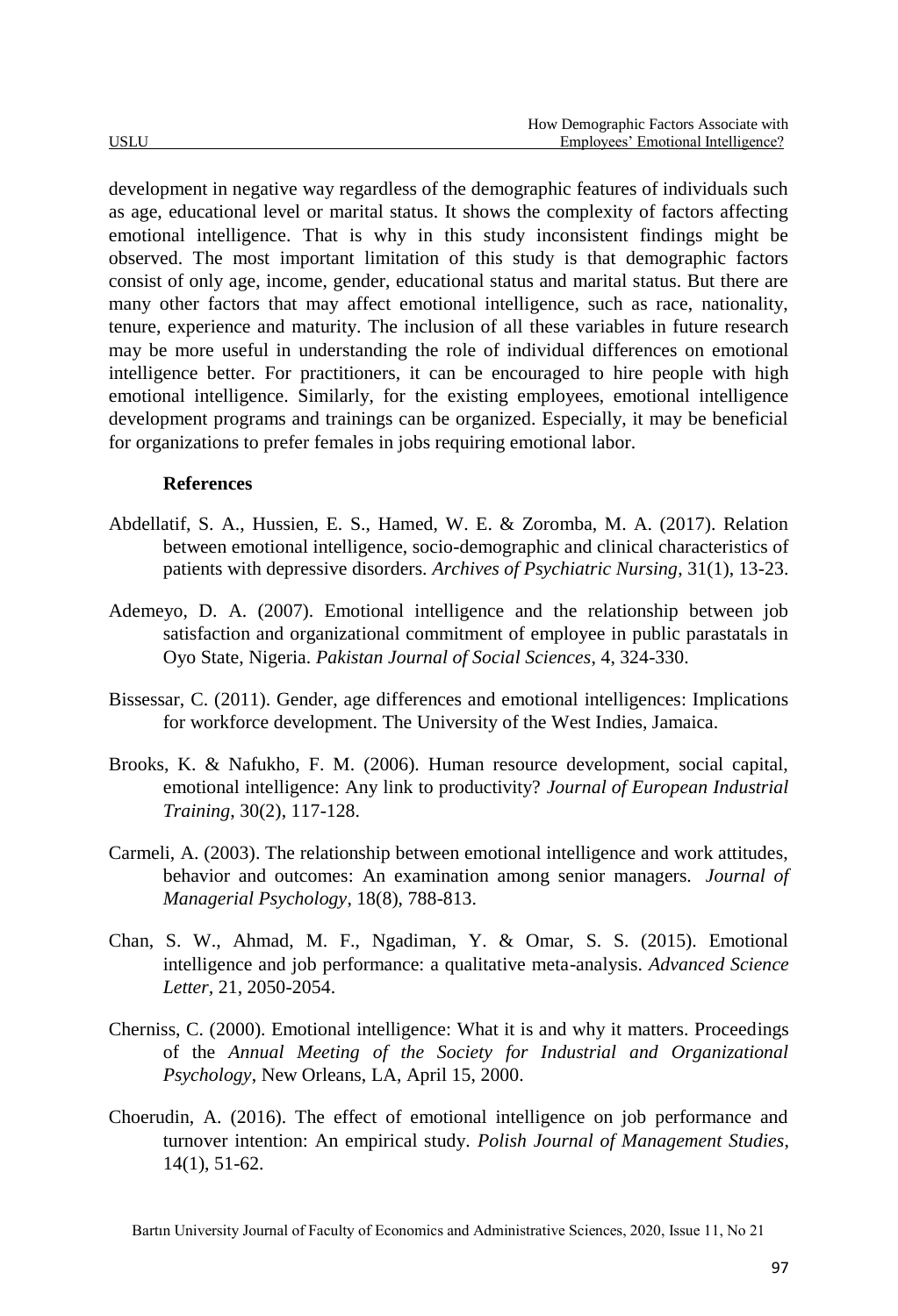development in negative way regardless of the demographic features of individuals such as age, educational level or marital status. It shows the complexity of factors affecting emotional intelligence. That is why in this study inconsistent findings might be observed. The most important limitation of this study is that demographic factors consist of only age, income, gender, educational status and marital status. But there are many other factors that may affect emotional intelligence, such as race, nationality, tenure, experience and maturity. The inclusion of all these variables in future research may be more useful in understanding the role of individual differences on emotional intelligence better. For practitioners, it can be encouraged to hire people with high emotional intelligence. Similarly, for the existing employees, emotional intelligence development programs and trainings can be organized. Especially, it may be beneficial for organizations to prefer females in jobs requiring emotional labor.

## **References**

- Abdellatif, S. A., Hussien, E. S., Hamed, W. E. & Zoromba, M. A. (2017). Relation between emotional intelligence, socio-demographic and clinical characteristics of patients with depressive disorders. *Archives of Psychiatric Nursing*, 31(1), 13-23.
- Ademeyo, D. A. (2007). Emotional intelligence and the relationship between job satisfaction and organizational commitment of employee in public parastatals in Oyo State, Nigeria. *Pakistan Journal of Social Sciences*, 4, 324-330.
- Bissessar, C. (2011). Gender, age differences and emotional intelligences: Implications for workforce development. The University of the West Indies, Jamaica.
- Brooks, K. & Nafukho, F. M. (2006). Human resource development, social capital, emotional intelligence: Any link to productivity? *Journal of European Industrial Training*, 30(2), 117-128.
- Carmeli, A. (2003). The relationship between emotional intelligence and work attitudes, behavior and outcomes: An examination among senior managers. *Journal of Managerial Psychology*, 18(8), 788-813.
- Chan, S. W., Ahmad, M. F., Ngadiman, Y. & Omar, S. S. (2015). Emotional intelligence and job performance: a qualitative meta-analysis. *Advanced Science Letter,* 21, 2050-2054.
- Cherniss, C. (2000). Emotional intelligence: What it is and why it matters. Proceedings of the *Annual Meeting of the Society for Industrial and Organizational Psychology*, New Orleans, LA, April 15, 2000.
- Choerudin, A. (2016). The effect of emotional intelligence on job performance and turnover intention: An empirical study. *Polish Journal of Management Studies*, 14(1), 51-62.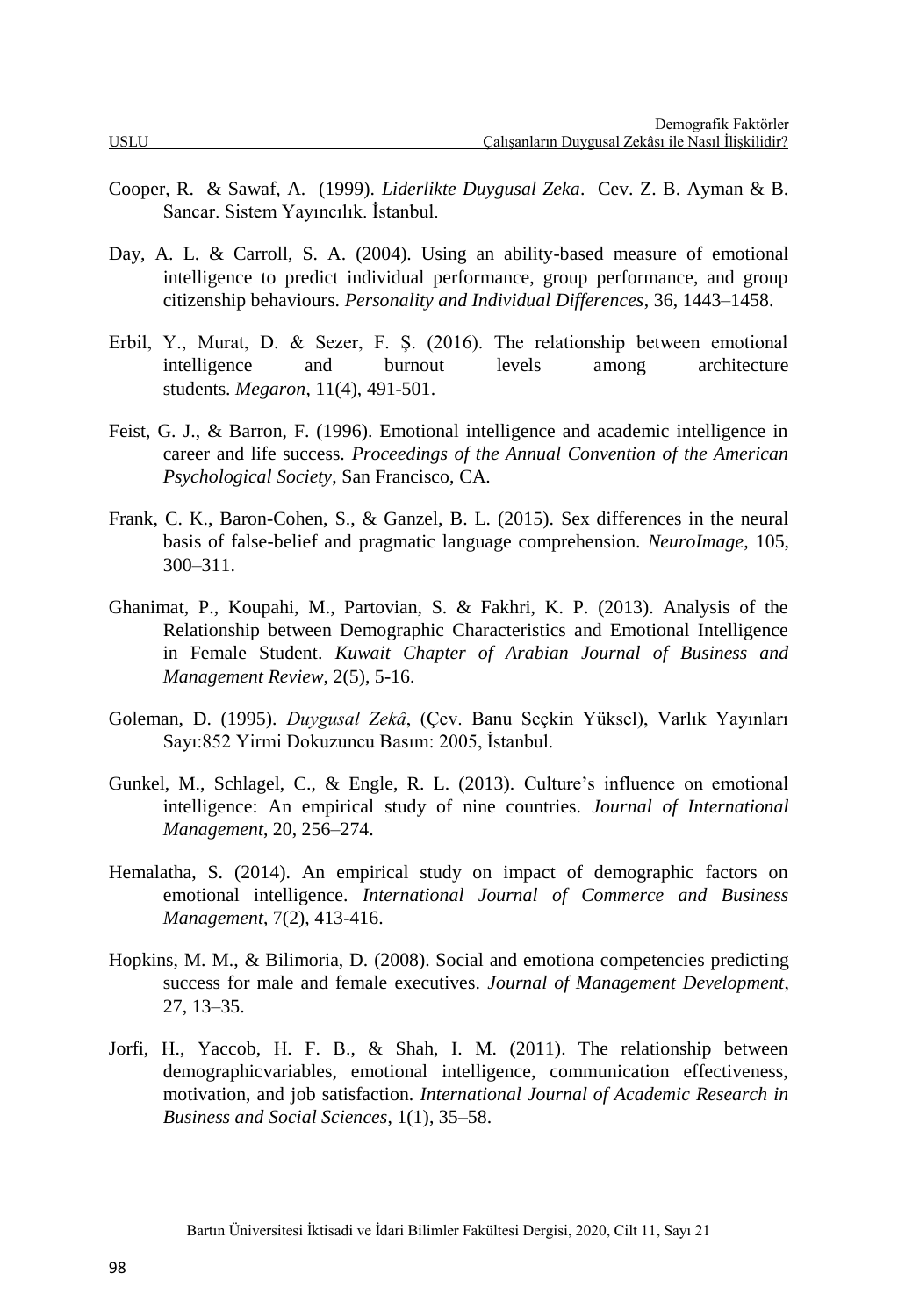- Cooper, R. & Sawaf, A. (1999). *Liderlikte Duygusal Zeka*. Cev. Z. B. Ayman & B. Sancar. Sistem Yayıncılık. İstanbul.
- Day, A. L. & Carroll, S. A. (2004). Using an ability-based measure of emotional intelligence to predict individual performance, group performance, and group citizenship behaviours. *Personality and Individual Differences*, 36, 1443–1458.
- Erbil, Y., Murat, D. & Sezer, F. Ş. (2016). The relationship between emotional intelligence and burnout levels among architecture students. *Megaron*, 11(4), 491-501.
- Feist, G. J., & Barron, F. (1996). Emotional intelligence and academic intelligence in career and life success. *Proceedings of the Annual Convention of the American Psychological Society*, San Francisco, CA.
- Frank, C. K., Baron-Cohen, S., & Ganzel, B. L. (2015). Sex differences in the neural basis of false-belief and pragmatic language comprehension. *NeuroImage*, 105, 300–311.
- Ghanimat, P., Koupahi, M., Partovian, S. & Fakhri, K. P. (2013). Analysis of the Relationship between Demographic Characteristics and Emotional Intelligence in Female Student. *Kuwait Chapter of Arabian Journal of Business and Management Review*, 2(5), 5-16.
- Goleman, D. (1995). *Duygusal Zekâ*, (Çev. Banu Seçkin Yüksel), Varlık Yayınları Sayı:852 Yirmi Dokuzuncu Basım: 2005, İstanbul.
- Gunkel, M., Schlagel, C., & Engle, R. L. (2013). Culture's influence on emotional intelligence: An empirical study of nine countries. *Journal of International Management*, 20, 256–274.
- Hemalatha, S. (2014). An empirical study on impact of demographic factors on emotional intelligence. *International Journal of Commerce and Business Management*, 7(2), 413-416.
- Hopkins, M. M., & Bilimoria, D. (2008). Social and emotiona competencies predicting success for male and female executives. *Journal of Management Development*, 27, 13–35.
- Jorfi, H., Yaccob, H. F. B., & Shah, I. M. (2011). The relationship between demographicvariables, emotional intelligence, communication effectiveness, motivation, and job satisfaction. *International Journal of Academic Research in Business and Social Sciences*, 1(1), 35–58.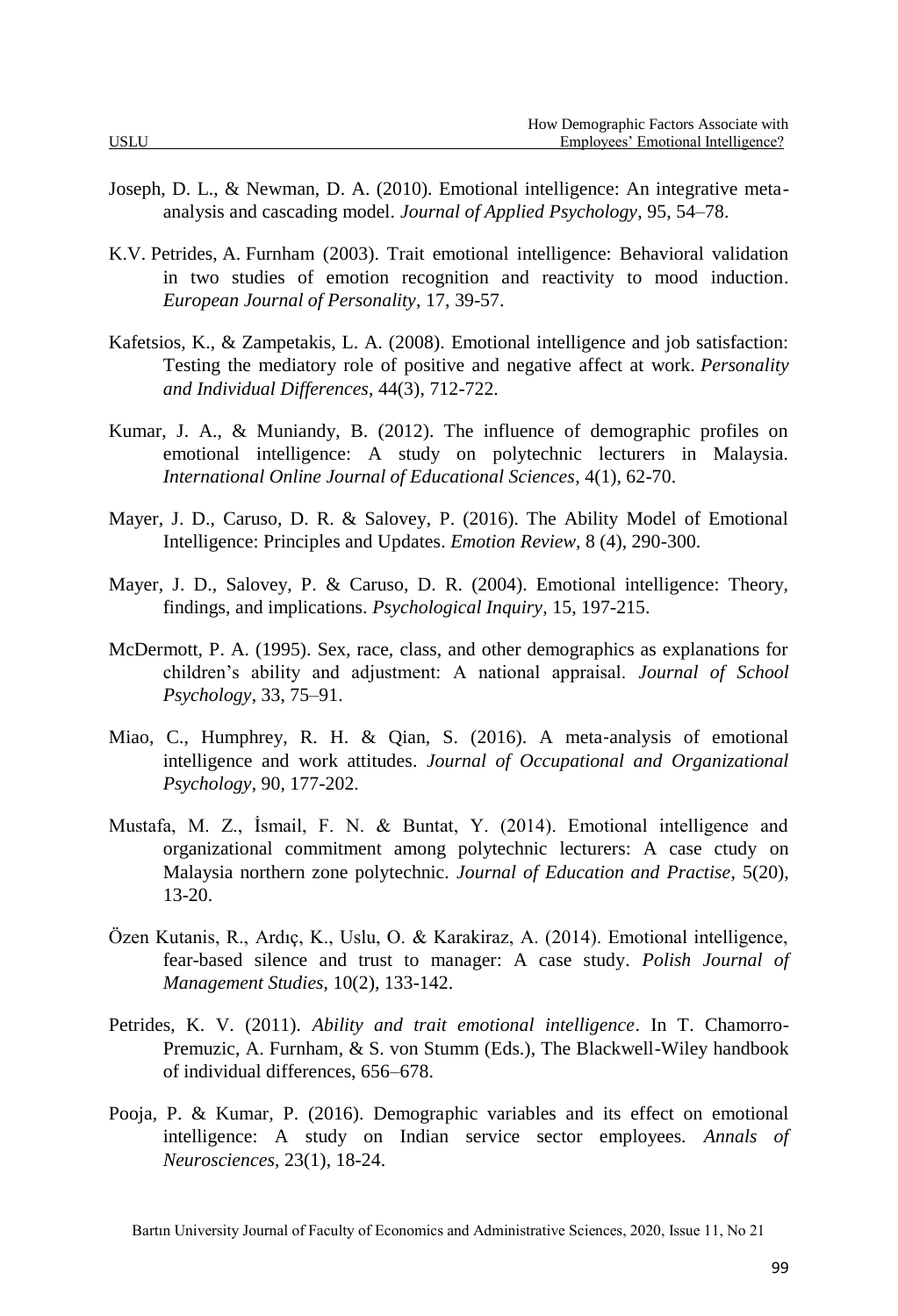- Joseph, D. L., & Newman, D. A. (2010). Emotional intelligence: An integrative metaanalysis and cascading model. *Journal of Applied Psychology*, 95, 54–78.
- K.V. Petrides, A. Furnham (2003). Trait emotional intelligence: Behavioral validation in two studies of emotion recognition and reactivity to mood induction. *European Journal of Personality*, 17, 39-57.
- Kafetsios, K., & Zampetakis, L. A. (2008). Emotional intelligence and job satisfaction: Testing the mediatory role of positive and negative affect at work. *Personality and Individual Differences*, 44(3), 712-722.
- Kumar, J. A., & Muniandy, B. (2012). The influence of demographic profiles on emotional intelligence: A study on polytechnic lecturers in Malaysia. *International Online Journal of Educational Sciences*, 4(1), 62-70.
- Mayer, J. D., Caruso, D. R. & Salovey, P. (2016). The Ability Model of Emotional Intelligence: Principles and Updates. *Emotion Review,* 8 (4), 290-300.
- Mayer, J. D., Salovey, P. & Caruso, D. R. (2004). Emotional intelligence: Theory, findings, and implications. *Psychological Inquiry*, 15, 197-215.
- McDermott, P. A. (1995). Sex, race, class, and other demographics as explanations for children's ability and adjustment: A national appraisal. *Journal of School Psychology*, 33, 75–91.
- Miao, C., Humphrey, R. H. & Qian, S. (2016). A meta-analysis of emotional intelligence and work attitudes. *Journal of Occupational and Organizational Psychology*, 90, 177-202.
- Mustafa, M. Z., İsmail, F. N. & Buntat, Y. (2014). Emotional intelligence and organizational commitment among polytechnic lecturers: A case ctudy on Malaysia northern zone polytechnic. *Journal of Education and Practise*, 5(20), 13-20.
- Özen Kutanis, R., Ardıç, K., Uslu, O. & Karakiraz, A. (2014). Emotional intelligence, fear-based silence and trust to manager: A case study. *Polish Journal of Management Studies*, 10(2), 133-142.
- Petrides, K. V. (2011). *Ability and trait emotional intelligence*. In T. Chamorro-Premuzic, A. Furnham, & S. von Stumm (Eds.), The Blackwell-Wiley handbook of individual differences, 656–678.
- Pooja, P. & Kumar, P. (2016). Demographic variables and its effect on emotional intelligence: A study on Indian service sector employees. *Annals of Neurosciences,* 23(1), 18-24.